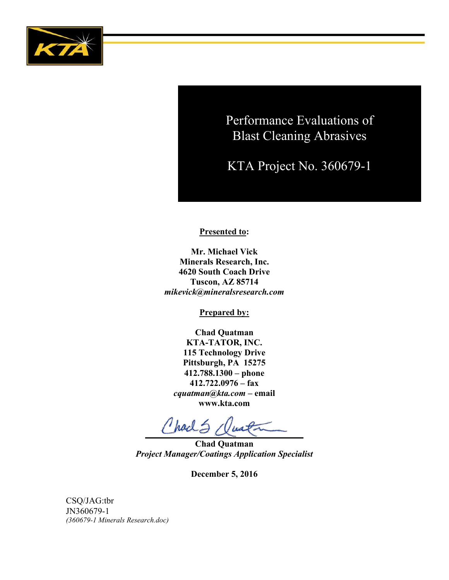

Performance Evaluations of Blast Cleaning Abrasives

KTA Project No. 360679-1

**Presented to:** 

**Mr. Michael Vick Minerals Research, Inc. 4620 South Coach Drive Tuscon, AZ 85714** *mikevick@mineralsresearch.com*

**Prepared by:**

**Chad Quatman KTA-TATOR, INC. 115 Technology Drive Pittsburgh, PA 15275 412.788.1300 – phone 412.722.0976 – fax**  *cquatman@kta.com* **– email www.kta.com**

Charles Quata

**Chad Quatman** *Project Manager/Coatings Application Specialist*

**December 5, 2016**

CSQ/JAG:tbr JN360679-1 *(360679-1 Minerals Research.doc)*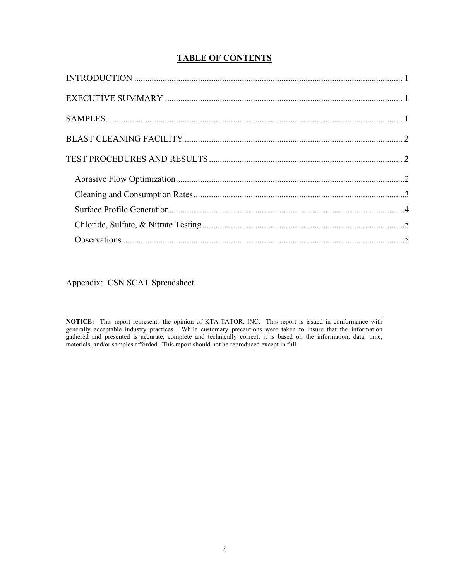# **TABLE OF CONTENTS**

Appendix: CSN SCAT Spreadsheet

**NOTICE:** This report represents the opinion of KTA-TATOR, INC. This report is issued in conformance with generally acceptable industry practices. While customary precautions were taken to insure that the information gathered and presented is accurate, complete and technically correct, it is based on the information, data, time, materials, and/or samples afforded. This report should not be reproduced except in full.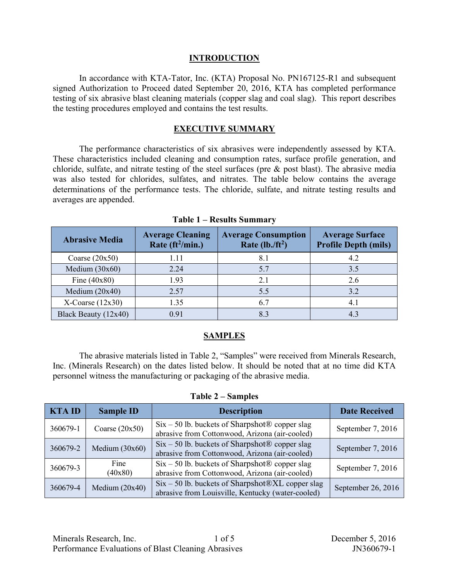### **INTRODUCTION**

In accordance with KTA-Tator, Inc. (KTA) Proposal No. PN167125-R1 and subsequent signed Authorization to Proceed dated September 20, 2016, KTA has completed performance testing of six abrasive blast cleaning materials (copper slag and coal slag). This report describes the testing procedures employed and contains the test results.

### **EXECUTIVE SUMMARY**

The performance characteristics of six abrasives were independently assessed by KTA. These characteristics included cleaning and consumption rates, surface profile generation, and chloride, sulfate, and nitrate testing of the steel surfaces (pre & post blast). The abrasive media was also tested for chlorides, sulfates, and nitrates. The table below contains the average determinations of the performance tests. The chloride, sulfate, and nitrate testing results and averages are appended.

| <b>Abrasive Media</b> | <b>Average Cleaning</b><br>Rate (ft <sup>2</sup> /min.) | <b>Average Consumption</b><br>Rate $(lb./ft^2)$ | <b>Average Surface</b><br><b>Profile Depth (mils)</b> |
|-----------------------|---------------------------------------------------------|-------------------------------------------------|-------------------------------------------------------|
| Coarse $(20x50)$      | 1.11                                                    |                                                 | 4.2                                                   |
| Medium $(30x60)$      | 2.24                                                    | 5.7                                             | 3.5                                                   |
| Fine $(40x80)$        | 1.93                                                    | 2.1                                             | 2.6                                                   |
| Medium $(20x40)$      | 2.57                                                    | 5.5                                             | 3.2                                                   |
| $X$ -Coarse (12x30)   | 1.35                                                    | 6.7                                             | 4.1                                                   |
| Black Beauty (12x40)  | 0.91                                                    | 8.3                                             |                                                       |

**Table 1 – Results Summary**

### **SAMPLES**

The abrasive materials listed in Table 2, "Samples" were received from Minerals Research, Inc. (Minerals Research) on the dates listed below. It should be noted that at no time did KTA personnel witness the manufacturing or packaging of the abrasive media.

|  |  | Table 2 – Samples |  |
|--|--|-------------------|--|
|--|--|-------------------|--|

| <b>KTAID</b> | <b>Sample ID</b> | <b>Description</b>                                                                                                   | <b>Date Received</b> |
|--------------|------------------|----------------------------------------------------------------------------------------------------------------------|----------------------|
| 360679-1     | Coarse $(20x50)$ | $Six - 50$ lb. buckets of Sharpshot $\circledR$ copper slag<br>abrasive from Cottonwood, Arizona (air-cooled)        | September 7, 2016    |
| 360679-2     | Medium $(30x60)$ | $Six - 50$ lb. buckets of Sharpshot ® copper slag<br>abrasive from Cottonwood, Arizona (air-cooled)                  | September 7, 2016    |
| 360679-3     | Fine<br>(40x80)  | $Six - 50$ lb. buckets of Sharpshot ® copper slag<br>abrasive from Cottonwood, Arizona (air-cooled)                  | September 7, 2016    |
| 360679-4     | Medium $(20x40)$ | $Six - 50$ lb. buckets of Sharpshot $\mathcal{R}XL$ copper slag<br>abrasive from Louisville, Kentucky (water-cooled) | September 26, 2016   |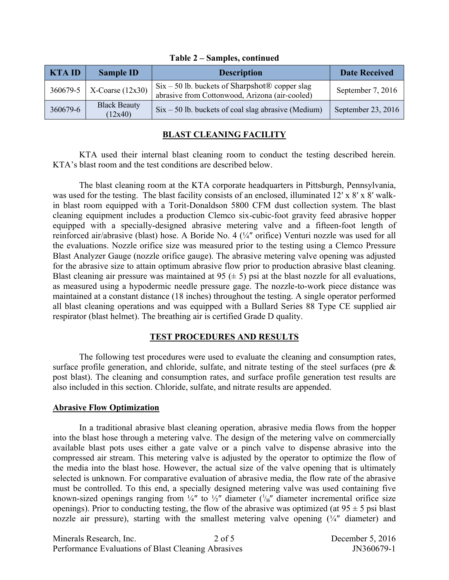| KTA ID   | <b>Sample ID</b>                | <b>Description</b>                                                                                            | <b>Date Received</b> |
|----------|---------------------------------|---------------------------------------------------------------------------------------------------------------|----------------------|
|          | $360679 - 5$   X-Coarse (12x30) | $Six - 50$ lb. buckets of Sharpshot $\circledR$ copper slag<br>abrasive from Cottonwood, Arizona (air-cooled) | September 7, 2016    |
| 360679-6 | <b>Black Beauty</b><br>(12x40)  | $Six - 50$ lb. buckets of coal slag abrasive (Medium)                                                         | September 23, 2016   |

#### **Table 2 – Samples, continued**

### **BLAST CLEANING FACILITY**

KTA used their internal blast cleaning room to conduct the testing described herein. KTA's blast room and the test conditions are described below.

The blast cleaning room at the KTA corporate headquarters in Pittsburgh, Pennsylvania, was used for the testing. The blast facility consists of an enclosed, illuminated 12' x 8' x 8' walkin blast room equipped with a Torit-Donaldson 5800 CFM dust collection system. The blast cleaning equipment includes a production Clemco six-cubic-foot gravity feed abrasive hopper equipped with a specially-designed abrasive metering valve and a fifteen-foot length of reinforced air/abrasive (blast) hose. A Boride No. 4 (¼″ orifice) Venturi nozzle was used for all the evaluations. Nozzle orifice size was measured prior to the testing using a Clemco Pressure Blast Analyzer Gauge (nozzle orifice gauge). The abrasive metering valve opening was adjusted for the abrasive size to attain optimum abrasive flow prior to production abrasive blast cleaning. Blast cleaning air pressure was maintained at 95  $(\pm 5)$  psi at the blast nozzle for all evaluations, as measured using a hypodermic needle pressure gage. The nozzle-to-work piece distance was maintained at a constant distance (18 inches) throughout the testing. A single operator performed all blast cleaning operations and was equipped with a Bullard Series 88 Type CE supplied air respirator (blast helmet). The breathing air is certified Grade D quality.

### **TEST PROCEDURES AND RESULTS**

The following test procedures were used to evaluate the cleaning and consumption rates, surface profile generation, and chloride, sulfate, and nitrate testing of the steel surfaces (pre & post blast). The cleaning and consumption rates, and surface profile generation test results are also included in this section. Chloride, sulfate, and nitrate results are appended.

### **Abrasive Flow Optimization**

In a traditional abrasive blast cleaning operation, abrasive media flows from the hopper into the blast hose through a metering valve. The design of the metering valve on commercially available blast pots uses either a gate valve or a pinch valve to dispense abrasive into the compressed air stream. This metering valve is adjusted by the operator to optimize the flow of the media into the blast hose. However, the actual size of the valve opening that is ultimately selected is unknown. For comparative evaluation of abrasive media, the flow rate of the abrasive must be controlled. To this end, a specially designed metering valve was used containing five known-sized openings ranging from  $\frac{1}{4}$ " to  $\frac{1}{2}$ " diameter  $(\frac{1}{16}$ " diameter incremental orifice size openings). Prior to conducting testing, the flow of the abrasive was optimized (at  $95 \pm 5$  psi blast nozzle air pressure), starting with the smallest metering valve opening (¼″ diameter) and

Minerals Research, Inc. 2 of 5 December 5, 2016 Performance Evaluations of Blast Cleaning Abrasives JN360679-1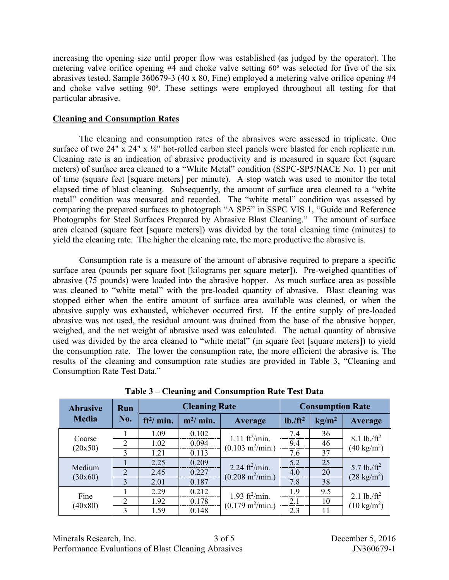increasing the opening size until proper flow was established (as judged by the operator). The metering valve orifice opening #4 and choke valve setting 60º was selected for five of the six abrasives tested. Sample 360679-3 (40 x 80, Fine) employed a metering valve orifice opening #4 and choke valve setting 90º. These settings were employed throughout all testing for that particular abrasive.

# **Cleaning and Consumption Rates**

The cleaning and consumption rates of the abrasives were assessed in triplicate. One surface of two 24" x 24" x 1/<sub>8</sub>" hot-rolled carbon steel panels were blasted for each replicate run. Cleaning rate is an indication of abrasive productivity and is measured in square feet (square meters) of surface area cleaned to a "White Metal" condition (SSPC-SP5/NACE No. 1) per unit of time (square feet [square meters] per minute). A stop watch was used to monitor the total elapsed time of blast cleaning. Subsequently, the amount of surface area cleaned to a "white metal" condition was measured and recorded. The "white metal" condition was assessed by comparing the prepared surfaces to photograph "A SP5" in SSPC VIS 1, "Guide and Reference Photographs for Steel Surfaces Prepared by Abrasive Blast Cleaning." The amount of surface area cleaned (square feet [square meters]) was divided by the total cleaning time (minutes) to yield the cleaning rate. The higher the cleaning rate, the more productive the abrasive is.

Consumption rate is a measure of the amount of abrasive required to prepare a specific surface area (pounds per square foot [kilograms per square meter]). Pre-weighed quantities of abrasive (75 pounds) were loaded into the abrasive hopper. As much surface area as possible was cleaned to "white metal" with the pre-loaded quantity of abrasive. Blast cleaning was stopped either when the entire amount of surface area available was cleaned, or when the abrasive supply was exhausted, whichever occurred first. If the entire supply of pre-loaded abrasive was not used, the residual amount was drained from the base of the abrasive hopper, weighed, and the net weight of abrasive used was calculated. The actual quantity of abrasive used was divided by the area cleaned to "white metal" (in square feet [square meters]) to yield the consumption rate. The lower the consumption rate, the more efficient the abrasive is. The results of the cleaning and consumption rate studies are provided in Table 3, "Cleaning and Consumption Rate Test Data."

| <b>Abrasive</b>   | Run                         |             | <b>Cleaning Rate</b> |                                   |                       | <b>Consumption Rate</b> |                           |
|-------------------|-----------------------------|-------------|----------------------|-----------------------------------|-----------------------|-------------------------|---------------------------|
| <b>Media</b>      | No.                         | $ft^2/min.$ | $m^2/m$ in.          | <b>Average</b>                    | lb. / ft <sup>2</sup> | kg/m <sup>2</sup>       | Average                   |
|                   |                             | 1.09        | 0.102                | $1.11 \text{ ft}^2/\text{min}$ .  | 7.4                   | 36                      | $8.1$ lb./ft <sup>2</sup> |
| Coarse            | $\mathfrak{D}$              | 1.02        | 0.094                | $(0.103 \text{ m}^2/\text{min.})$ | 9.4                   | 46                      | $(40 \text{ kg/m}^2)$     |
| (20x50)           | 3                           | 1.21        | 0.113                |                                   | 7.6                   | 37                      |                           |
|                   |                             | 2.25        | 0.209                | 2.24 $ft^2/min$ .                 | 5.2                   | 25                      | 5.7 lb./ $ft^2$           |
| Medium<br>(30x60) | $\mathcal{D}_{\mathcal{L}}$ | 2.45        | 0.227                | $(0.208 \text{ m}^2/\text{min.})$ | 4.0                   | 20                      | $(28 \text{ kg/m}^2)$     |
|                   | 3                           | 2.01        | 0.187                |                                   | 7.8                   | 38                      |                           |
| Fine              |                             | 2.29        | 0.212                | 1.93 $ft^2/min$ .                 | 1.9                   | 9.5                     | 2.1 lb./ $ft^2$           |
| (40x80)           | 2                           | 1.92        | 0.178                | $(0.179 \text{ m}^2/\text{min.})$ | 2.1                   | 10                      | $(10 \text{ kg/m}^2)$     |
|                   | 3                           | 1.59        | 0.148                |                                   | 2.3                   | 11                      |                           |

**Table 3 – Cleaning and Consumption Rate Test Data**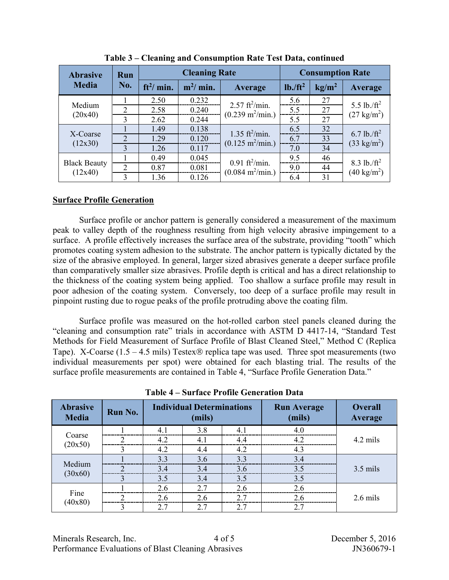| <b>Abrasive</b>                | Run                         |             | <b>Cleaning Rate</b> |                                   |                       | <b>Consumption Rate</b> |                       |
|--------------------------------|-----------------------------|-------------|----------------------|-----------------------------------|-----------------------|-------------------------|-----------------------|
| <b>Media</b>                   | No.                         | $ft^2/min.$ | $m^2/m$ in.          | <b>Average</b>                    | lb. / ft <sup>2</sup> | kg/m <sup>2</sup>       | Average               |
|                                |                             | 2.50        | 0.232                | $2.57$ ft <sup>2</sup> /min.      | 5.6                   | 27                      | 5.5 lb./ $ft^2$       |
| Medium                         | $\overline{2}$              | 2.58        | 0.240                | $(0.239 \text{ m}^2/\text{min.})$ | 5.5                   | 27                      | $(27 \text{ kg/m}^2)$ |
| (20x40)                        | 3                           | 2.62        | 0.244                |                                   | 5.5                   | 27                      |                       |
|                                |                             | 1.49        | 0.138                | 1.35 $ft^2/min$ .                 | 6.5                   | 32                      | 6.7 lb./ $ft^2$       |
| X-Coarse<br>(12x30)            | $\mathcal{D}_{\mathcal{L}}$ | 1.29        | 0.120                | $(0.125 \text{ m}^2/\text{min.})$ | 6.7                   | 33                      | $(33 \text{ kg/m}^2)$ |
|                                | 3                           | 1.26        | 0.117                |                                   | 7.0                   | 34                      |                       |
|                                |                             | 0.49        | 0.045                | $0.91 \text{ ft}^2/\text{min}$ .  | 9.5                   | 46                      | 8.3 lb./ $ft^2$       |
| <b>Black Beauty</b><br>(12x40) | $\mathcal{D}_{\mathcal{L}}$ | 0.87        | 0.081                | $(0.084 \text{ m}^2/\text{min.})$ | 9.0                   | 44                      | $(40 \text{ kg/m}^2)$ |
|                                | 3                           | 1.36        | 0.126                |                                   | 6.4                   | 31                      |                       |

**Table 3 – Cleaning and Consumption Rate Test Data, continued**

### **Surface Profile Generation**

Surface profile or anchor pattern is generally considered a measurement of the maximum peak to valley depth of the roughness resulting from high velocity abrasive impingement to a surface. A profile effectively increases the surface area of the substrate, providing "tooth" which promotes coating system adhesion to the substrate. The anchor pattern is typically dictated by the size of the abrasive employed. In general, larger sized abrasives generate a deeper surface profile than comparatively smaller size abrasives. Profile depth is critical and has a direct relationship to the thickness of the coating system being applied. Too shallow a surface profile may result in poor adhesion of the coating system. Conversely, too deep of a surface profile may result in pinpoint rusting due to rogue peaks of the profile protruding above the coating film.

Surface profile was measured on the hot-rolled carbon steel panels cleaned during the "cleaning and consumption rate" trials in accordance with ASTM D 4417-14, "Standard Test Methods for Field Measurement of Surface Profile of Blast Cleaned Steel," Method C (Replica Tape). X-Coarse (1.5 – 4.5 mils) Testex  $\circledR$  replica tape was used. Three spot measurements (two individual measurements per spot) were obtained for each blasting trial. The results of the surface profile measurements are contained in Table 4, "Surface Profile Generation Data."

| <b>Abrasive</b><br><b>Media</b> | Run No.       |     | <b>Individual Determinations</b><br>(mils) |                | <b>Run Average</b><br>(mils) | <b>Overall</b><br>Average |
|---------------------------------|---------------|-----|--------------------------------------------|----------------|------------------------------|---------------------------|
|                                 |               | 41  | 3.8                                        | 4 <sup>1</sup> | 4.0                          |                           |
| Coarse<br>(20x50)               |               | 4.2 | 4.1                                        | 4.4            | 4.2                          | 4.2 mils                  |
|                                 |               | 4.2 | 4.4                                        | 4.2            | 4.3                          |                           |
|                                 |               | 3.3 | 3.6                                        | 3.3            | 3.4                          |                           |
| Medium                          |               | 3.4 | 3.4                                        | 3.6            | 3.5                          | $3.5$ mils                |
| (30x60)                         | 3             | 3.5 | 3.4                                        | 3.5            | 3.5                          |                           |
|                                 |               | 2.6 | 2.7                                        | 2.6            | 2.6                          |                           |
| Fine                            | ◠             | 26  | 2.6                                        | 27             | 26                           | $2.6$ mils                |
| (40x80)                         | $\mathcal{L}$ | 2.7 | 2.7                                        | 2.7            | 27                           |                           |

**Table 4 – Surface Profile Generation Data**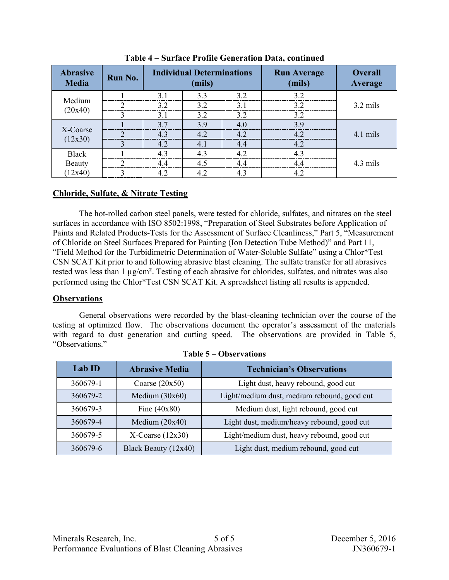| <b>Abrasive</b><br><b>Media</b> | Run No. |                | <b>Individual Determinations</b><br>(mils) |     | <b>Run Average</b><br>(mils) | <b>Overall</b><br>Average |
|---------------------------------|---------|----------------|--------------------------------------------|-----|------------------------------|---------------------------|
|                                 |         | 3 <sub>1</sub> | 3.3                                        | 32  | 32                           |                           |
| Medium                          |         | 32             | 3.2                                        | 3.1 | 3.2                          | $3.2$ mils                |
| (20x40)                         |         | 3.1            | 3.2                                        | 3.2 | 3.2                          |                           |
|                                 |         | 37             | 3.9                                        | 4.0 | 39                           |                           |
| X-Coarse                        |         | 4.3            | 4.2                                        | 4.2 | 42                           | 4.1 mils                  |
| (12x30)                         |         | 4.2            | 4.1                                        | 4.4 | 4.2                          |                           |
| <b>Black</b>                    |         | 43             | 4.3                                        | 42  |                              |                           |
| Beauty                          |         | 44             | 4.5                                        | 44  | $\Lambda$ $\Lambda$          | 4.3 mils                  |
| (12x40)                         |         | 4.2            | 4.2                                        | 4.3 | 4.2                          |                           |

**Table 4 – Surface Profile Generation Data, continued**

# **Chloride, Sulfate, & Nitrate Testing**

The hot-rolled carbon steel panels, were tested for chloride, sulfates, and nitrates on the steel surfaces in accordance with ISO 8502:1998, "Preparation of Steel Substrates before Application of Paints and Related Products-Tests for the Assessment of Surface Cleanliness," Part 5, "Measurement of Chloride on Steel Surfaces Prepared for Painting (Ion Detection Tube Method)" and Part 11, "Field Method for the Turbidimetric Determination of Water-Soluble Sulfate" using a Chlor\*Test CSN SCAT Kit prior to and following abrasive blast cleaning. The sulfate transfer for all abrasives tested was less than 1 µg/cm². Testing of each abrasive for chlorides, sulfates, and nitrates was also performed using the Chlor\*Test CSN SCAT Kit. A spreadsheet listing all results is appended.

# **Observations**

General observations were recorded by the blast-cleaning technician over the course of the testing at optimized flow. The observations document the operator's assessment of the materials with regard to dust generation and cutting speed. The observations are provided in Table 5, "Observations."

| $Lab$ ID | <b>Abrasive Media</b>  | <b>Technician's Observations</b>            |
|----------|------------------------|---------------------------------------------|
| 360679-1 | Coarse $(20x50)$       | Light dust, heavy rebound, good cut         |
| 360679-2 | Medium $(30x60)$       | Light/medium dust, medium rebound, good cut |
| 360679-3 | Fine $(40x80)$         | Medium dust, light rebound, good cut        |
| 360679-4 | Medium $(20x40)$       | Light dust, medium/heavy rebound, good cut  |
| 360679-5 | $X$ -Coarse (12x30)    | Light/medium dust, heavy rebound, good cut  |
| 360679-6 | Black Beauty $(12x40)$ | Light dust, medium rebound, good cut        |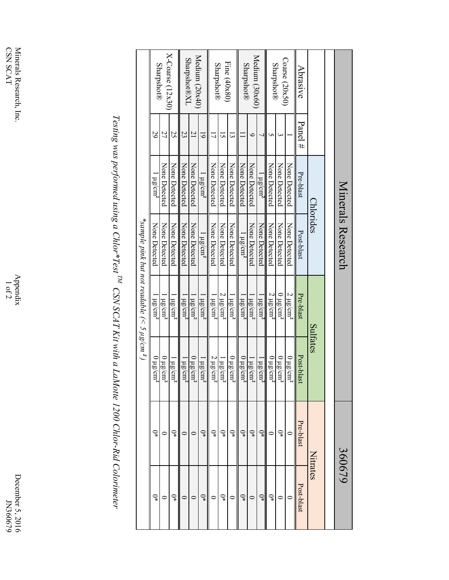December 5, 2016<br>JN360679 December 5, 2016 JN360679

Appendix<br> $1$  of 2

Testing was performed using a Chlor\*Test<sup>TM</sup> CSN SCAT Kit with a LaMotte 1200 Chlor-Rid Colorimeter *Testing was performed using a Chlor\*Test TM CSN SCAT Kit with a LaMotte 1200 Chlor-Rid Colorimeter* 

|                   |                |                          | Minerals Research |                                                      |                           | 360679         |                |
|-------------------|----------------|--------------------------|-------------------|------------------------------------------------------|---------------------------|----------------|----------------|
|                   |                |                          |                   |                                                      |                           |                |                |
|                   |                |                          | Chlorides         |                                                      | Sulfates                  | Nitrates       |                |
| Abrasive          | Panel #        | Pre-blast                | Post-blast        | Pre-blast                                            | Post-blast                | Pre-blast      | Post-blast     |
|                   |                | None Detected            | None Detected     | $2~\mu{\rm g/cm^2}$                                  | 12/310<br>Ę               |                |                |
| Coarse (20x50)    |                | None Detected            | None Detected     | $0 \mu g/cm^2$                                       | $0 \mu$ g/cm <sup>2</sup> | $\mathbb{Q}^*$ |                |
| <b>Sharpshot®</b> |                | None Detected            | None Detected     | $2 \mu g/cm^2$                                       | 12/310<br>Ę,              |                | $\mathbb{Q}^*$ |
|                   |                | $1 \mu g/cm^2$           | None Detected     | $\log \text{cm}^2$                                   | 1.18<br>ಸ್ಗ               | ⊋              | ្ទ្            |
| Medium (30x60)    | ∽              | None Detected            | None Detected     | $\mu$ $\mu$ g/cm <sup>2</sup>                        | $\log$ cm <sup>2</sup>    | $\mathbb{Q}^*$ | $\circ$        |
| <b>Sharpshot®</b> |                | None Detected            | $1 \mu g/cm^2$    | $\mu g/cm^2$                                         | $0 \mu\text{g/cm}^2$      | ្              | $\mathbb{Q}^*$ |
|                   |                | None Detected            | None Detected     | $1 \mu g/cm^2$                                       | 12/210<br>¤z              | $\mathbb{Q}^*$ |                |
| Fine (40x80)      | ما             | None Detected            | None Detected     | $2 \mu g/cm^2$                                       | $\log$ cm <sup>2</sup>    | $\mathbb{Q}^*$ | ្              |
| <b>Sharpshot®</b> |                | None Detected            | None Detected     | $1 \mu g/cm^2$                                       | $2 \mu$ g/cr<br>¤ž        | $\mathbb{Q}^*$ |                |
|                   | <u>ভ</u>       | $\frac{1}{2} \mu g/cm^2$ | $1 \mu g/cm^2$    | $\frac{1}{2} \mu g / cm^2$                           | $1 \mu g/cm^2$            |                | $\mathbb{Q}^*$ |
| Medium (20x40)    | $\overline{C}$ | None Detected            | None Detected     | $1 \mu g/cm^2$                                       | 12/810<br>Ę,              |                |                |
| Sharpshot®XL      | 23             | None Detected            | None Detected     | $\mu g/cm^2$                                         | $1 \mu g/cm^2$            |                |                |
| X-Coarse (12x30)  | 25             | None Detected            | None Detected     | $1 \mu g/cm^2$                                       | l µg/cn<br>¤ž             |                | ్ఞ             |
|                   | 27             | None Detected            | None Detected     | $1 \mu\text{g/cm}^2$                                 | $0 \mu$ g/cm <sup>2</sup> |                |                |
| <b>Sharpshot®</b> | 29             | $\mu g/cm^2$             | None Detected     | $\mu g/cm^2$                                         | $0 \mu$ g/cn              | $\mathbb{Q}^*$ | $\mathbb{Q}^*$ |
|                   |                |                          |                   | *sample pink but not readable (< $5 \mu$ g/cm $^2$ ) |                           |                |                |